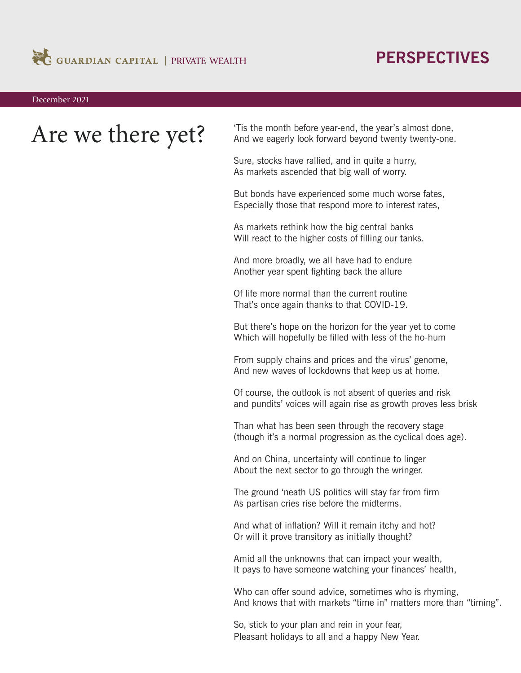

## **PERSPECTIVES**

December 2021

Are we there yet? Tis the month before year-end, the year's almost done,<br>And we eagerly look forward beyond twenty twenty-one. And we eagerly look forward beyond twenty twenty-one.

> Sure, stocks have rallied, and in quite a hurry, As markets ascended that big wall of worry.

But bonds have experienced some much worse fates, Especially those that respond more to interest rates,

As markets rethink how the big central banks Will react to the higher costs of filling our tanks.

And more broadly, we all have had to endure Another year spent fighting back the allure

Of life more normal than the current routine That's once again thanks to that COVID-19.

But there's hope on the horizon for the year yet to come Which will hopefully be filled with less of the ho-hum

From supply chains and prices and the virus' genome, And new waves of lockdowns that keep us at home.

Of course, the outlook is not absent of queries and risk and pundits' voices will again rise as growth proves less brisk

Than what has been seen through the recovery stage (though it's a normal progression as the cyclical does age).

And on China, uncertainty will continue to linger About the next sector to go through the wringer.

The ground 'neath US politics will stay far from firm As partisan cries rise before the midterms.

And what of inflation? Will it remain itchy and hot? Or will it prove transitory as initially thought?

Amid all the unknowns that can impact your wealth, It pays to have someone watching your finances' health,

Who can offer sound advice, sometimes who is rhyming, And knows that with markets "time in" matters more than "timing".

So, stick to your plan and rein in your fear, Pleasant holidays to all and a happy New Year.